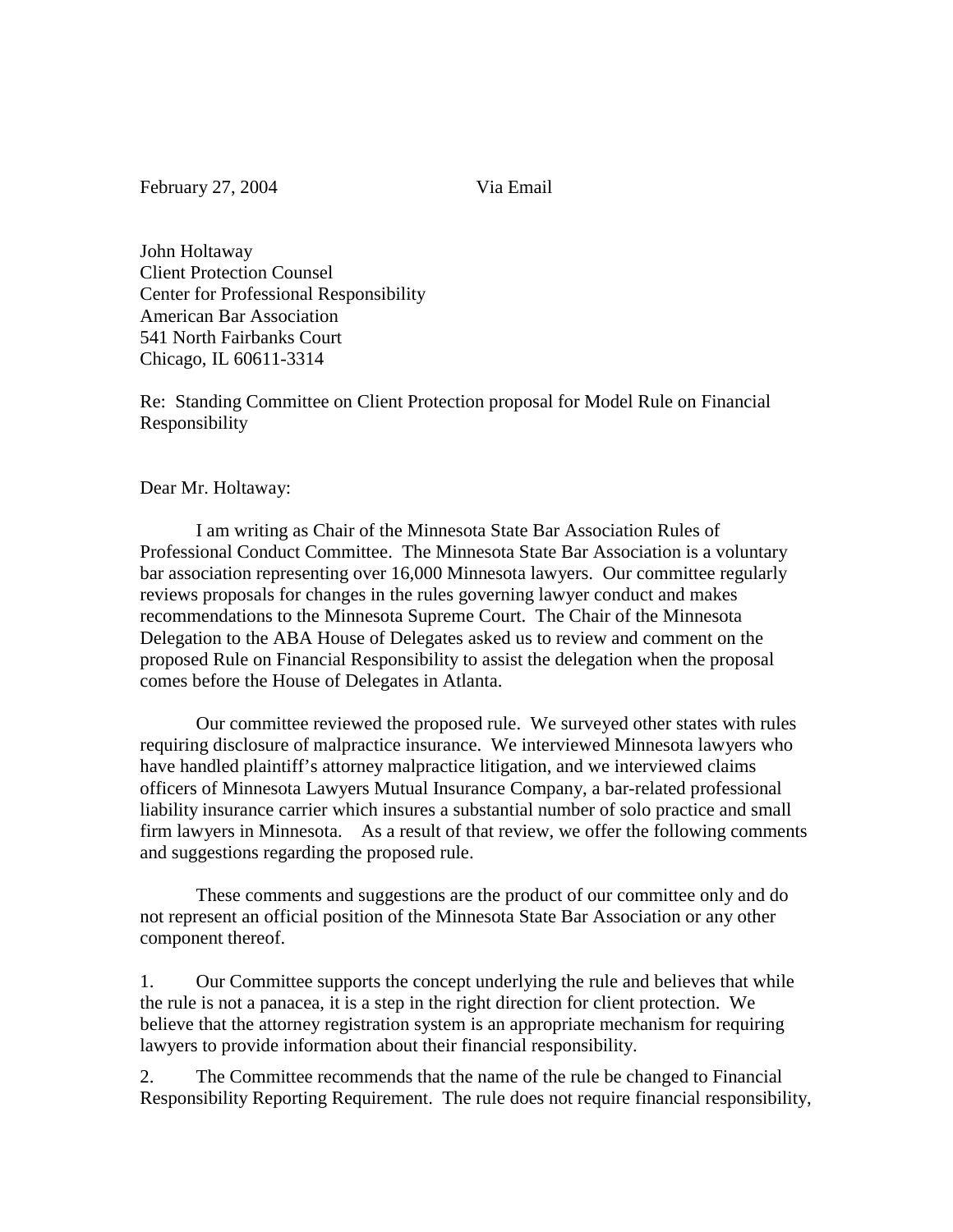February 27, 2004 Via Email

John Holtaway Client Protection Counsel Center for Professional Responsibility American Bar Association 541 North Fairbanks Court Chicago, IL 60611-3314

Re: Standing Committee on Client Protection proposal for Model Rule on Financial Responsibility

Dear Mr. Holtaway:

I am writing as Chair of the Minnesota State Bar Association Rules of Professional Conduct Committee. The Minnesota State Bar Association is a voluntary bar association representing over 16,000 Minnesota lawyers. Our committee regularly reviews proposals for changes in the rules governing lawyer conduct and makes recommendations to the Minnesota Supreme Court. The Chair of the Minnesota Delegation to the ABA House of Delegates asked us to review and comment on the proposed Rule on Financial Responsibility to assist the delegation when the proposal comes before the House of Delegates in Atlanta.

Our committee reviewed the proposed rule. We surveyed other states with rules requiring disclosure of malpractice insurance. We interviewed Minnesota lawyers who have handled plaintiff's attorney malpractice litigation, and we interviewed claims officers of Minnesota Lawyers Mutual Insurance Company, a bar-related professional liability insurance carrier which insures a substantial number of solo practice and small firm lawyers in Minnesota. As a result of that review, we offer the following comments and suggestions regarding the proposed rule.

These comments and suggestions are the product of our committee only and do not represent an official position of the Minnesota State Bar Association or any other component thereof.

1. Our Committee supports the concept underlying the rule and believes that while the rule is not a panacea, it is a step in the right direction for client protection. We believe that the attorney registration system is an appropriate mechanism for requiring lawyers to provide information about their financial responsibility.

2. The Committee recommends that the name of the rule be changed to Financial Responsibility Reporting Requirement. The rule does not require financial responsibility,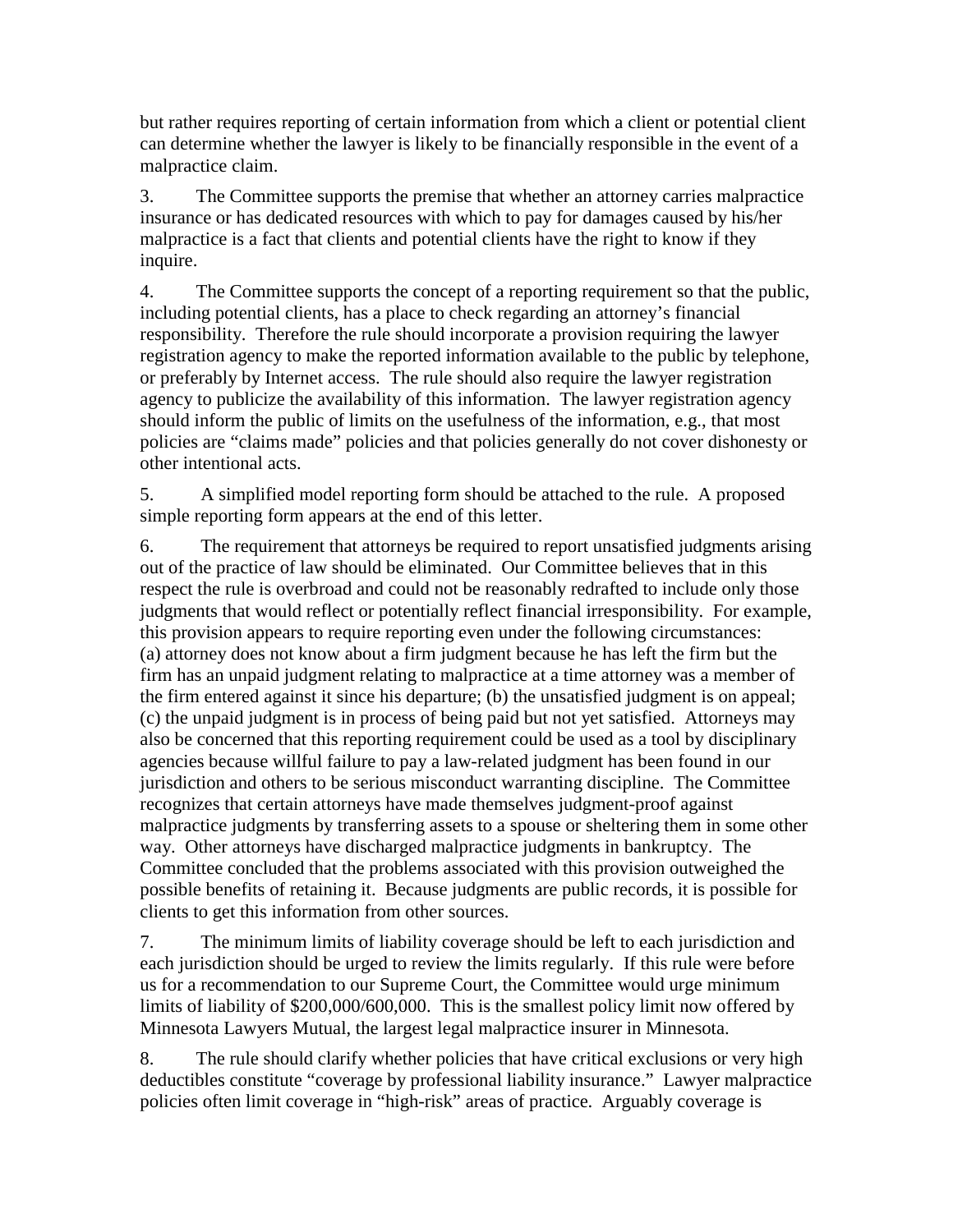but rather requires reporting of certain information from which a client or potential client can determine whether the lawyer is likely to be financially responsible in the event of a malpractice claim.

3. The Committee supports the premise that whether an attorney carries malpractice insurance or has dedicated resources with which to pay for damages caused by his/her malpractice is a fact that clients and potential clients have the right to know if they inquire.

4. The Committee supports the concept of a reporting requirement so that the public, including potential clients, has a place to check regarding an attorney's financial responsibility. Therefore the rule should incorporate a provision requiring the lawyer registration agency to make the reported information available to the public by telephone, or preferably by Internet access. The rule should also require the lawyer registration agency to publicize the availability of this information. The lawyer registration agency should inform the public of limits on the usefulness of the information, e.g., that most policies are "claims made" policies and that policies generally do not cover dishonesty or other intentional acts.

5. A simplified model reporting form should be attached to the rule. A proposed simple reporting form appears at the end of this letter.

6. The requirement that attorneys be required to report unsatisfied judgments arising out of the practice of law should be eliminated. Our Committee believes that in this respect the rule is overbroad and could not be reasonably redrafted to include only those judgments that would reflect or potentially reflect financial irresponsibility. For example, this provision appears to require reporting even under the following circumstances: (a) attorney does not know about a firm judgment because he has left the firm but the firm has an unpaid judgment relating to malpractice at a time attorney was a member of the firm entered against it since his departure; (b) the unsatisfied judgment is on appeal; (c) the unpaid judgment is in process of being paid but not yet satisfied. Attorneys may also be concerned that this reporting requirement could be used as a tool by disciplinary agencies because willful failure to pay a law-related judgment has been found in our jurisdiction and others to be serious misconduct warranting discipline. The Committee recognizes that certain attorneys have made themselves judgment-proof against malpractice judgments by transferring assets to a spouse or sheltering them in some other way. Other attorneys have discharged malpractice judgments in bankruptcy. The Committee concluded that the problems associated with this provision outweighed the possible benefits of retaining it. Because judgments are public records, it is possible for clients to get this information from other sources.

7. The minimum limits of liability coverage should be left to each jurisdiction and each jurisdiction should be urged to review the limits regularly. If this rule were before us for a recommendation to our Supreme Court, the Committee would urge minimum limits of liability of \$200,000/600,000. This is the smallest policy limit now offered by Minnesota Lawyers Mutual, the largest legal malpractice insurer in Minnesota.

8. The rule should clarify whether policies that have critical exclusions or very high deductibles constitute "coverage by professional liability insurance." Lawyer malpractice policies often limit coverage in "high-risk" areas of practice. Arguably coverage is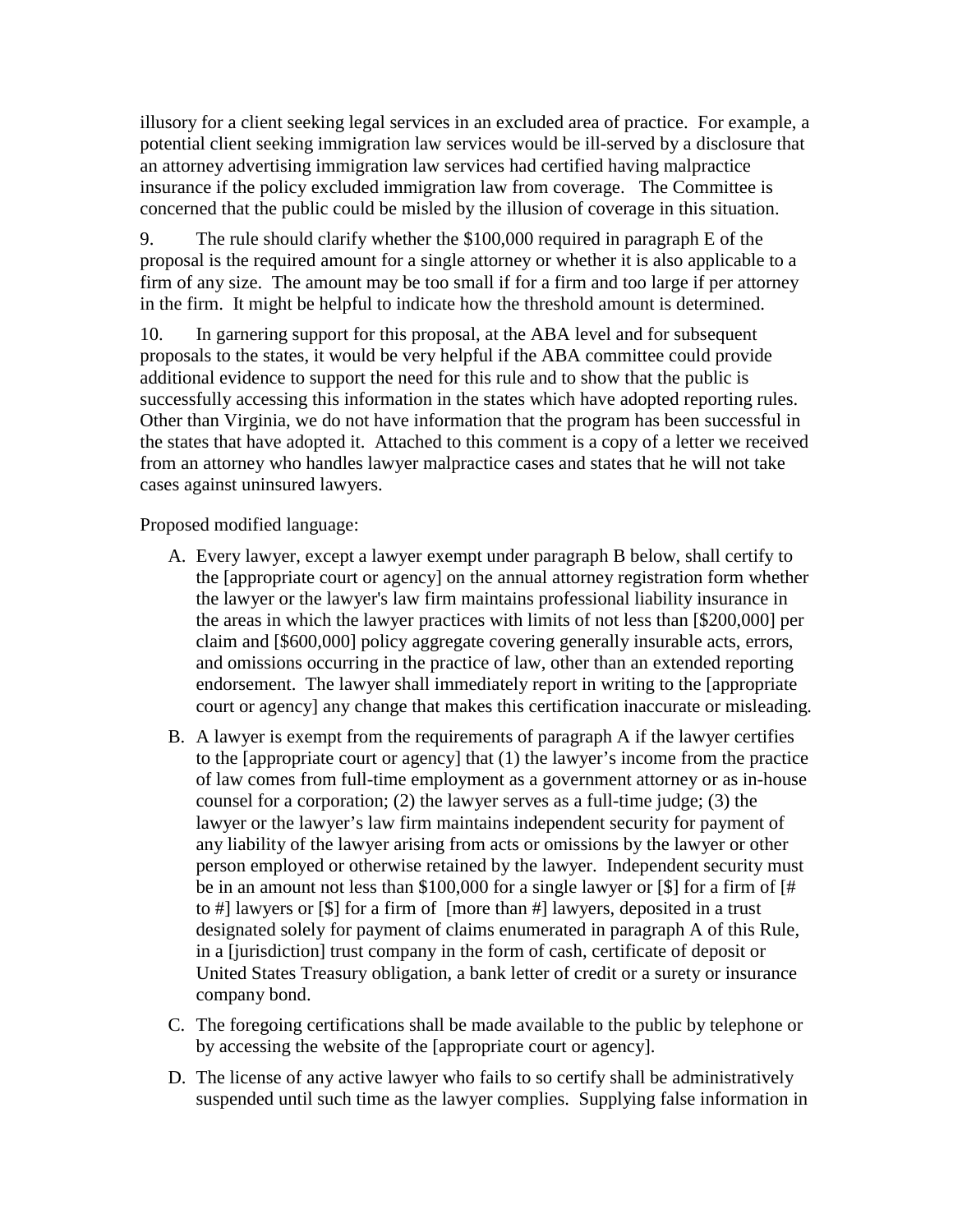illusory for a client seeking legal services in an excluded area of practice. For example, a potential client seeking immigration law services would be ill-served by a disclosure that an attorney advertising immigration law services had certified having malpractice insurance if the policy excluded immigration law from coverage. The Committee is concerned that the public could be misled by the illusion of coverage in this situation.

9. The rule should clarify whether the \$100,000 required in paragraph E of the proposal is the required amount for a single attorney or whether it is also applicable to a firm of any size. The amount may be too small if for a firm and too large if per attorney in the firm. It might be helpful to indicate how the threshold amount is determined.

10. In garnering support for this proposal, at the ABA level and for subsequent proposals to the states, it would be very helpful if the ABA committee could provide additional evidence to support the need for this rule and to show that the public is successfully accessing this information in the states which have adopted reporting rules. Other than Virginia, we do not have information that the program has been successful in the states that have adopted it. Attached to this comment is a copy of a letter we received from an attorney who handles lawyer malpractice cases and states that he will not take cases against uninsured lawyers.

Proposed modified language:

- A. Every lawyer, except a lawyer exempt under paragraph B below, shall certify to the [appropriate court or agency] on the annual attorney registration form whether the lawyer or the lawyer's law firm maintains professional liability insurance in the areas in which the lawyer practices with limits of not less than [\$200,000] per claim and [\$600,000] policy aggregate covering generally insurable acts, errors, and omissions occurring in the practice of law, other than an extended reporting endorsement. The lawyer shall immediately report in writing to the [appropriate court or agency] any change that makes this certification inaccurate or misleading.
- B. A lawyer is exempt from the requirements of paragraph A if the lawyer certifies to the [appropriate court or agency] that (1) the lawyer's income from the practice of law comes from full-time employment as a government attorney or as in-house counsel for a corporation; (2) the lawyer serves as a full-time judge; (3) the lawyer or the lawyer's law firm maintains independent security for payment of any liability of the lawyer arising from acts or omissions by the lawyer or other person employed or otherwise retained by the lawyer. Independent security must be in an amount not less than \$100,000 for a single lawyer or [\$] for a firm of [# to #] lawyers or [\$] for a firm of [more than #] lawyers, deposited in a trust designated solely for payment of claims enumerated in paragraph A of this Rule, in a [jurisdiction] trust company in the form of cash, certificate of deposit or United States Treasury obligation, a bank letter of credit or a surety or insurance company bond.
- C. The foregoing certifications shall be made available to the public by telephone or by accessing the website of the [appropriate court or agency].
- D. The license of any active lawyer who fails to so certify shall be administratively suspended until such time as the lawyer complies. Supplying false information in